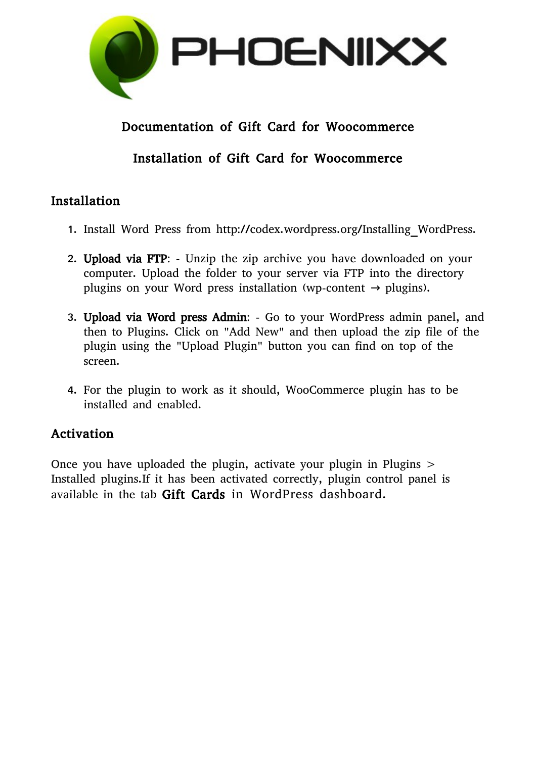

## Documentation of Gift Card for Woocommerce

# Installation of Gift Card for Woocommerce

#### Installation

- 1. Install Word Press from http://codex.wordpress.org/Installing\_WordPress.
- 2. Upload via FTP: Unzip the zip archive you have downloaded on your computer. Upload the folder to your server via FTP into the directory plugins on your Word press installation (wp-content  $\rightarrow$  plugins).
- 3. Upload via Word press Admin: Go to your WordPress admin panel, and then to Plugins. Click on "Add New" and then upload the zip file of the plugin using the "Upload Plugin" button you can find on top of the screen.
- 4. For the plugin to work as it should, WooCommerce plugin has to be installed and enabled.

## Activation

Once you have uploaded the plugin, activate your plugin in Plugins > Installed plugins.If it has been activated correctly, plugin control panel is available in the tab Gift Cards in WordPress dashboard.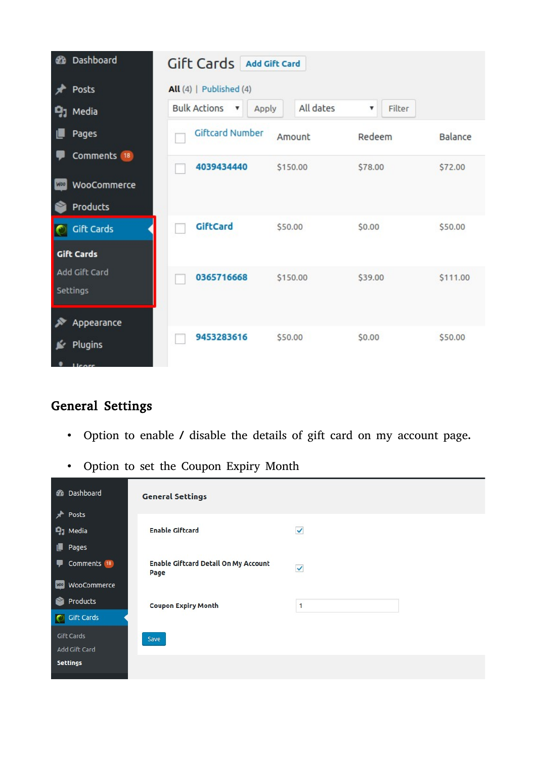| ଈ               | Dashboard<br>Posts        | Gift Cards Add Gift Card<br>$All(4)$   Published (4)    |           |             |                |
|-----------------|---------------------------|---------------------------------------------------------|-----------|-------------|----------------|
|                 | $91$ Media                | <b>Bulk Actions</b><br>Apply<br>$\overline{\mathbf{v}}$ | All dates | Filter<br>v |                |
|                 | Pages                     | <b>Giftcard Number</b>                                  | Amount    | Redeem      | <b>Balance</b> |
|                 | Comments 18               | 4039434440                                              | \$150.00  | \$78.00     | \$72.00        |
| W <sub>DO</sub> | WooCommerce               |                                                         |           |             |                |
|                 | Products                  |                                                         |           |             |                |
|                 | <b>Gift Cards</b>         | GiftCard                                                | \$50.00   | \$0.00      | \$50.00        |
|                 | <b>Gift Cards</b>         |                                                         |           |             |                |
|                 | Add Gift Card<br>Settings | 0365716668                                              | \$150.00  | \$39.00     | \$111.00       |
|                 | Appearance                |                                                         |           |             |                |
|                 | Plugins                   | 9453283616                                              | \$50.00   | \$0.00      | \$50.00        |

# General Settings

- Option to enable / disable the details of gift card on my account page.
- Option to set the Coupon Expiry Month

|            | <b>2</b> Dashboard     | <b>General Settings</b>                             |              |  |
|------------|------------------------|-----------------------------------------------------|--------------|--|
| $\star$    | Posts                  |                                                     |              |  |
|            | $q_1$ Media            | <b>Enable Giftcard</b>                              | V            |  |
| U          | Pages                  |                                                     |              |  |
|            | Comments <sup>18</sup> | <b>Enable Giftcard Detail On My Account</b><br>Page | $\checkmark$ |  |
| <b>WOO</b> | WooCommerce            |                                                     |              |  |
| ☎          | Products               | <b>Coupon Expiry Month</b>                          | 1            |  |
| $\bullet$  | <b>Gift Cards</b>      |                                                     |              |  |
|            | Gift Cards             | Save                                                |              |  |
|            | Add Gift Card          |                                                     |              |  |
|            | <b>Settings</b>        |                                                     |              |  |
|            |                        |                                                     |              |  |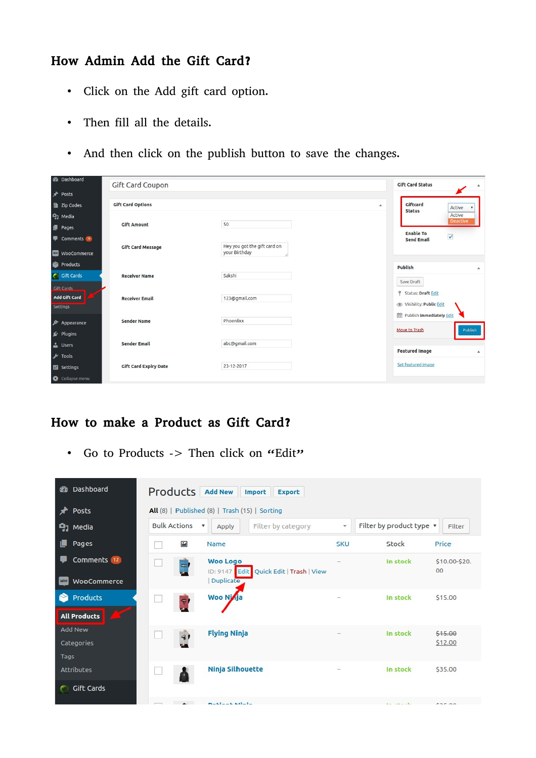# How Admin Add the Gift Card?

- Click on the Add gift card option.
- Then fill all the details.
- And then click on the publish button to save the changes.

| <b>2</b> Dashboard                             | Gift Card Coupon             |                                               | <b>Gift Card Status</b>                                    |
|------------------------------------------------|------------------------------|-----------------------------------------------|------------------------------------------------------------|
| Posts                                          |                              |                                               |                                                            |
| Zip Codes                                      | <b>Gift Card Options</b>     |                                               | Giftcard<br>$\blacktriangle$<br>Active<br><b>Status</b>    |
| <b>Q<sub>1</sub></b> Media                     |                              |                                               | Active<br><b>Deactive</b>                                  |
| <b>I</b> Pages                                 | <b>Gift Amount</b>           | 50                                            | <b>Enable To</b>                                           |
| Comments <sup>18</sup>                         |                              |                                               | $\blacktriangledown$<br><b>Send Email</b>                  |
| <b>WED</b> WooCommerce                         | <b>Gift Card Message</b>     | Hey you got the gift card on<br>your Birthday |                                                            |
| Products                                       |                              |                                               | <b>Publish</b><br>$\blacktriangle$                         |
| <b>C</b> Gift Cards                            | <b>Receiver Name</b>         | Sakshi                                        | Save Draft                                                 |
| <b>Gift Cards</b><br>Add Gift Card<br>Settings | <b>Receiver Email</b>        | 123@gmail.com                                 | <sup>9</sup> Status: Draft Edit<br>Visibility: Public Edit |
| $\mathbf{x}$<br>Appearance                     | <b>Sender Name</b>           | Phoeniixx                                     | Publish immediately Edit                                   |
| ■ Plugins                                      |                              |                                               | Move to Trash<br>Publish                                   |
| $\Delta$<br><b>Users</b>                       | <b>Sender Email</b>          | abc@gmail.com                                 |                                                            |
| $\sqrt{\phantom{a}}$ Tools                     |                              |                                               | <b>Featured Image</b><br>$\blacktriangle$                  |
| <b>En</b> Settings                             | <b>Gift Card Expiry Date</b> | 23-12-2017                                    | Set featured image                                         |
| Collapse menu                                  |                              |                                               |                                                            |

#### How to make a Product as Gift Card?

• Go to Products -> Then click on "Edit"

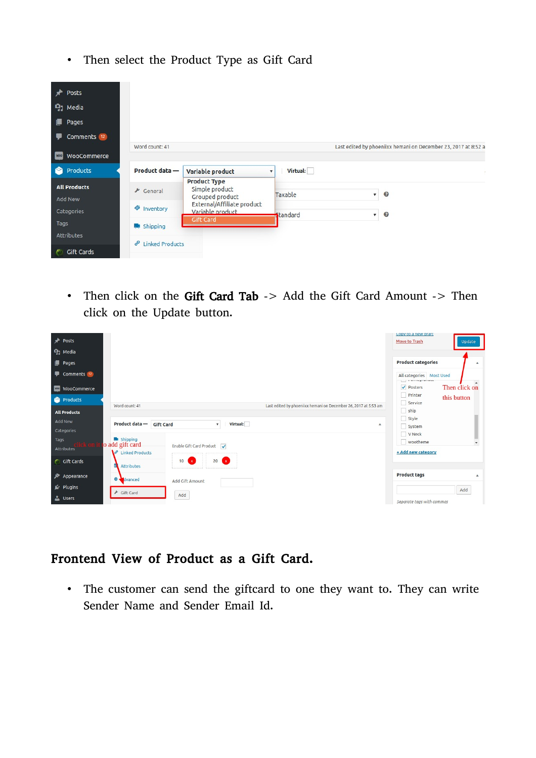• Then select the Product Type as Gift Card



• Then click on the Gift Card Tab -> Add the Gift Card Amount -> Then click on the Update button.

| Posts                                                    |                                                                  |                                                      |                                                                 | Copy to a new draft<br>Move to Trash                                                 | <b>Update</b>                |
|----------------------------------------------------------|------------------------------------------------------------------|------------------------------------------------------|-----------------------------------------------------------------|--------------------------------------------------------------------------------------|------------------------------|
| <b>Q<sub>1</sub></b> Media<br>$\blacksquare$ Pages       |                                                                  |                                                      |                                                                 | <b>Product categories</b>                                                            | $\blacktriangle$             |
| Comments (12)<br><b>WOO</b><br>WooCommerce               |                                                                  |                                                      |                                                                 | All categories    Most Used<br><b>List of School Section</b><br>✔ Posters<br>Printer | Then click on<br>this button |
| Products<br><b>All Products</b><br><b>Add New</b>        | Word count: 41                                                   |                                                      | Last edited by phoeniixx hemani on December 26, 2017 at 5:53 am | Service<br>ship<br>Style                                                             |                              |
| Categories<br>Tags                                       | Product data-<br><b>Gift Card</b><br>shipping<br>o add gift card | Virtual:<br>$\mathbf{v}$<br>Enable Gift Card Product | $\blacktriangle$                                                | System<br>V Neck<br>wootheme                                                         | $\mathbf{v}$                 |
| <b>Attributes</b><br><b>Cift Cards</b>                   | $\mathscr{P}$<br><b>Linked Products</b><br><b>Attributes</b>     | 20(x)<br>10(x)                                       |                                                                 | + Add new category                                                                   |                              |
| $\blacktriangleright$ Appearance<br>$\mathbb{I}$ Plugins | o.<br>dvanced                                                    | Add Gift Amount                                      |                                                                 | <b>Product tags</b>                                                                  | $\blacktriangle$             |
| <b>L</b> Users                                           | → Gift Card                                                      | Add                                                  |                                                                 | Separate tags with commas                                                            | Add                          |

## Frontend View of Product as a Gift Card.

• The customer can send the giftcard to one they want to. They can write Sender Name and Sender Email Id.